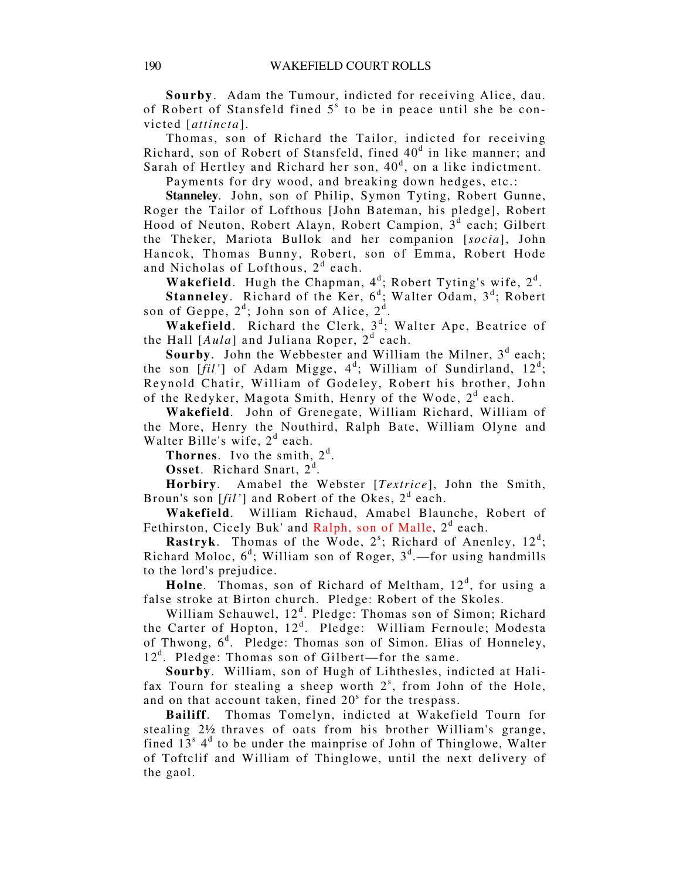**Sourby**. Adam the Tumour, indicted for receiving Alice, dau. of Robert of Stansfeld fined 5<sup>s</sup> to be in peace until she be convicted [*attincta*].

Thomas, son of Richard the Tailor, indicted for receiving Richard, son of Robert of Stansfeld, fined 40<sup>d</sup> in like manner; and Sarah of Hertley and Richard her son,  $40<sup>d</sup>$ , on a like indictment.

Payments for dry wood, and breaking down hedges, etc.:

**Stanneley**. John, son of Philip, Symon Tyting, Robert Gunne, Roger the Tailor of Lofthous [John Bateman, his pledge], Robert Hood of Neuton, Robert Alayn, Robert Campion,  $3<sup>d</sup>$  each; Gilbert the Theker, Mariota Bullok and her companion [*socia*], John Hancok, Thomas Bunny, Robert, son of Emma, Robert Hode and Nicholas of Lofthous, 2<sup>d</sup> each.

**Wakefield.** Hugh the Chapman,  $4^d$ ; Robert Tyting's wife,  $2^d$ .

Stanneley. Richard of the Ker, 6<sup>d</sup>; Walter Odam, 3<sup>d</sup>; Robert son of Geppe,  $2^d$ ; John son of Alice,  $2^d$ .

Wakefield. Richard the Clerk, 3<sup>d</sup>; Walter Ape, Beatrice of the Hall [Aula] and Juliana Roper, 2<sup>d</sup> each.

Sourby. John the Webbester and William the Milner, 3<sup>d</sup> each; the son  $[fil']$  of Adam Migge,  $4^d$ ; William of Sundirland,  $12^d$ ; Reynold Chatir, William of Godeley, Robert his brother, John of the Redyker, Magota Smith, Henry of the Wode, 2<sup>d</sup> each.

**Wakefield**. John of Grenegate, William Richard, William of the More, Henry the Nouthird, Ralph Bate, William Olyne and Walter Bille's wife,  $2<sup>d</sup>$  each.

**Thornes.** Ivo the smith,  $2<sup>d</sup>$ .

Osset. Richard Snart, 2<sup>d</sup>.

**Horbiry**. Amabel the Webster [*Textrice*], John the Smith, Broun's son [*fil'*] and Robert of the Okes, 2<sup>d</sup> each.

**Wakefield**. William Richaud, Amabel Blaunche, Robert of Fethirston, Cicely Buk' and Ralph, son of Malle, 2<sup>d</sup> each.

**Rastryk.** Thomas of the Wode,  $2^s$ ; Richard of Anenley,  $12^d$ ; Richard Moloc,  $6^d$ ; William son of Roger,  $3^d$ . -for using handmills to the lord's prejudice.

Holne. Thomas, son of Richard of Meltham, 12<sup>d</sup>, for using a false stroke at Birton church. Pledge: Robert of the Skoles.

William Schauwel, 12<sup>d</sup>. Pledge: Thomas son of Simon; Richard the Carter of Hopton, 12<sup>d</sup>. Pledge: William Fernoule; Modesta of Thwong,  $6<sup>d</sup>$ . Pledge: Thomas son of Simon. Elias of Honneley, 12<sup>d</sup>. Pledge: Thomas son of Gilbert—for the same.

**Sourby**. William, son of Hugh of Lihthesles, indicted at Halifax Tourn for stealing a sheep worth  $2<sup>s</sup>$ , from John of the Hole, and on that account taken, fined  $20<sup>s</sup>$  for the trespass.

**Bailiff**. Thomas Tomelyn, indicted at Wakefield Tourn for stealing 2½ thraves of oats from his brother William's grange, fined  $13<sup>s</sup>$  4<sup>d</sup> to be under the mainprise of John of Thinglowe, Walter of Toftclif and William of Thinglowe, until the next delivery of the gaol.